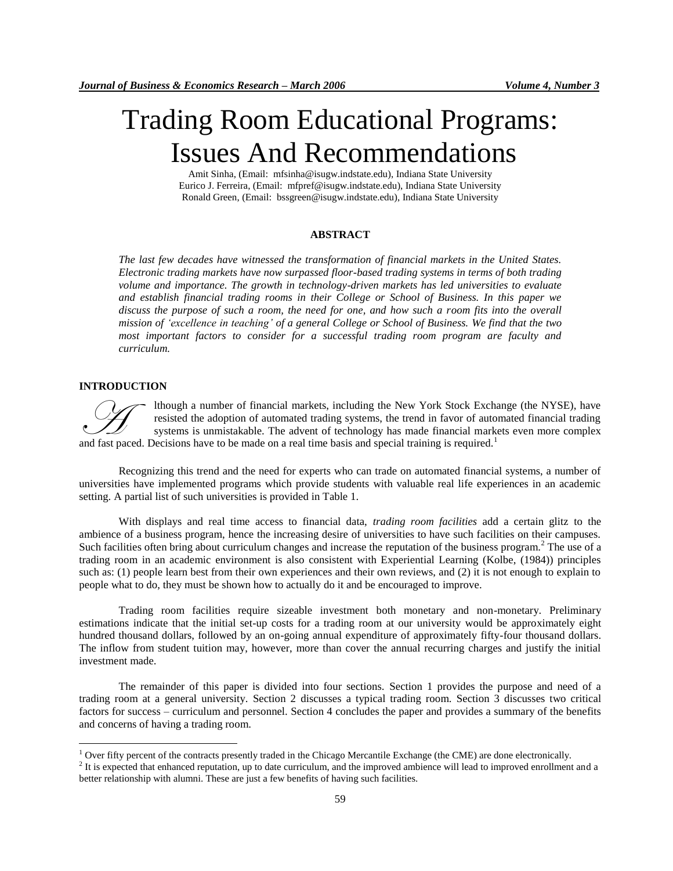# Trading Room Educational Programs: Issues And Recommendations

Amit Sinha, (Email: mfsinha@isugw.indstate.edu), Indiana State University Eurico J. Ferreira, (Email: mfpref@isugw.indstate.edu), Indiana State University Ronald Green, (Email: bssgreen@isugw.indstate.edu), Indiana State University

# **ABSTRACT**

*The last few decades have witnessed the transformation of financial markets in the United States. Electronic trading markets have now surpassed floor-based trading systems in terms of both trading volume and importance. The growth in technology-driven markets has led universities to evaluate and establish financial trading rooms in their College or School of Business. In this paper we discuss the purpose of such a room, the need for one, and how such a room fits into the overall mission of 'excellence in teaching' of a general College or School of Business. We find that the two most important factors to consider for a successful trading room program are faculty and curriculum.*

# **INTRODUCTION**

 $\overline{a}$ 

lthough a number of financial markets, including the New York Stock Exchange (the NYSE), have resisted the adoption of automated trading systems, the trend in favor of automated financial trading systems is unmistakable. The advent of technology has made financial markets even more complex and fast paced. Decisions have to be made on a real time basis and special training is required.<sup>1</sup><br>and fast paced. Decisions have to be made on a real time basis and special training is required.<sup>1</sup>

Recognizing this trend and the need for experts who can trade on automated financial systems, a number of universities have implemented programs which provide students with valuable real life experiences in an academic setting. A partial list of such universities is provided in Table 1.

With displays and real time access to financial data, *trading room facilities* add a certain glitz to the ambience of a business program, hence the increasing desire of universities to have such facilities on their campuses. Such facilities often bring about curriculum changes and increase the reputation of the business program.<sup>2</sup> The use of a trading room in an academic environment is also consistent with Experiential Learning (Kolbe, (1984)) principles such as: (1) people learn best from their own experiences and their own reviews, and (2) it is not enough to explain to people what to do, they must be shown how to actually do it and be encouraged to improve.

Trading room facilities require sizeable investment both monetary and non-monetary. Preliminary estimations indicate that the initial set-up costs for a trading room at our university would be approximately eight hundred thousand dollars, followed by an on-going annual expenditure of approximately fifty-four thousand dollars. The inflow from student tuition may, however, more than cover the annual recurring charges and justify the initial investment made.

The remainder of this paper is divided into four sections. Section 1 provides the purpose and need of a trading room at a general university. Section 2 discusses a typical trading room. Section 3 discusses two critical factors for success – curriculum and personnel. Section 4 concludes the paper and provides a summary of the benefits and concerns of having a trading room.

<sup>&</sup>lt;sup>1</sup> Over fifty percent of the contracts presently traded in the Chicago Mercantile Exchange (the CME) are done electronically.

 $<sup>2</sup>$  It is expected that enhanced reputation, up to date curriculum, and the improved ambience will lead to improved enrollment and a</sup> better relationship with alumni. These are just a few benefits of having such facilities.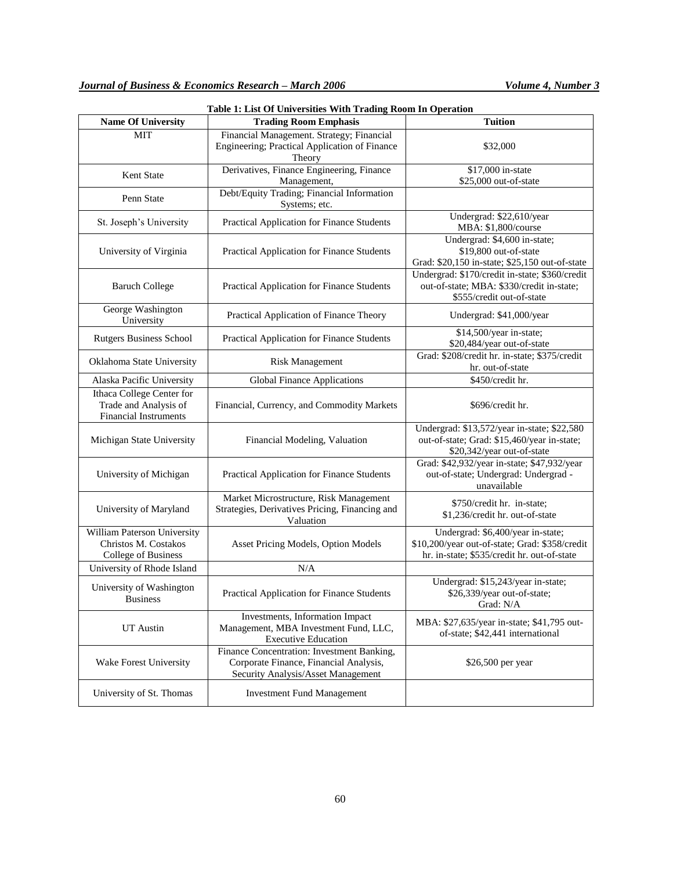| <b>Name Of University</b>                                                          | <b>Trading Room Emphasis</b>                                                                                               | <b>Tuition</b>                                                                                                                     |  |
|------------------------------------------------------------------------------------|----------------------------------------------------------------------------------------------------------------------------|------------------------------------------------------------------------------------------------------------------------------------|--|
| <b>MIT</b>                                                                         | Financial Management. Strategy; Financial<br>Engineering; Practical Application of Finance<br>Theory                       | \$32,000                                                                                                                           |  |
| Kent State                                                                         | Derivatives, Finance Engineering, Finance                                                                                  | \$17,000 in-state<br>\$25,000 out-of-state                                                                                         |  |
| Penn State                                                                         | Management,<br>Debt/Equity Trading; Financial Information<br>Systems; etc.                                                 |                                                                                                                                    |  |
| St. Joseph's University                                                            | Practical Application for Finance Students                                                                                 | Undergrad: \$22,610/year<br>MBA: \$1,800/course                                                                                    |  |
| University of Virginia                                                             | Practical Application for Finance Students                                                                                 | Undergrad: \$4,600 in-state;<br>\$19,800 out-of-state<br>Grad: \$20,150 in-state; \$25,150 out-of-state                            |  |
| <b>Baruch College</b>                                                              | Practical Application for Finance Students                                                                                 | Undergrad: \$170/credit in-state; \$360/credit<br>out-of-state; MBA: \$330/credit in-state;<br>\$555/credit out-of-state           |  |
| George Washington<br>University                                                    | Practical Application of Finance Theory                                                                                    | Undergrad: \$41,000/year                                                                                                           |  |
| <b>Rutgers Business School</b>                                                     | Practical Application for Finance Students                                                                                 | \$14,500/year in-state;<br>\$20,484/year out-of-state                                                                              |  |
| Oklahoma State University                                                          | <b>Risk Management</b>                                                                                                     | Grad: \$208/credit hr. in-state; \$375/credit<br>hr. out-of-state                                                                  |  |
| Alaska Pacific University                                                          | Global Finance Applications                                                                                                | \$450/credit hr.                                                                                                                   |  |
| Ithaca College Center for<br>Trade and Analysis of<br><b>Financial Instruments</b> | Financial, Currency, and Commodity Markets                                                                                 | \$696/credit hr.                                                                                                                   |  |
| Michigan State University                                                          | Financial Modeling, Valuation                                                                                              | Undergrad: \$13,572/year in-state; \$22,580<br>out-of-state; Grad: \$15,460/year in-state;<br>\$20,342/year out-of-state           |  |
| University of Michigan                                                             | Practical Application for Finance Students                                                                                 | Grad: \$42,932/year in-state; \$47,932/year<br>out-of-state; Undergrad: Undergrad -<br>unavailable                                 |  |
| University of Maryland                                                             | Market Microstructure, Risk Management<br>Strategies, Derivatives Pricing, Financing and<br>Valuation                      | \$750/credit hr. in-state;<br>\$1,236/credit hr. out-of-state                                                                      |  |
| William Paterson University<br>Christos M. Costakos<br>College of Business         | Asset Pricing Models, Option Models                                                                                        | Undergrad: \$6,400/year in-state;<br>\$10,200/year out-of-state; Grad: \$358/credit<br>hr. in-state; \$535/credit hr. out-of-state |  |
| University of Rhode Island                                                         | N/A                                                                                                                        |                                                                                                                                    |  |
| University of Washington<br><b>Business</b>                                        | Practical Application for Finance Students                                                                                 | Undergrad: \$15,243/year in-state;<br>\$26,339/year out-of-state;<br>Grad: N/A                                                     |  |
| UT Austin                                                                          | Investments, Information Impact<br>Management, MBA Investment Fund, LLC,<br><b>Executive Education</b>                     | MBA: \$27,635/year in-state; \$41,795 out-<br>of-state; \$42,441 international                                                     |  |
| Wake Forest University                                                             | Finance Concentration: Investment Banking,<br>Corporate Finance, Financial Analysis,<br>Security Analysis/Asset Management | \$26,500 per year                                                                                                                  |  |
| University of St. Thomas                                                           | <b>Investment Fund Management</b>                                                                                          |                                                                                                                                    |  |

**Table 1: List Of Universities With Trading Room In Operation**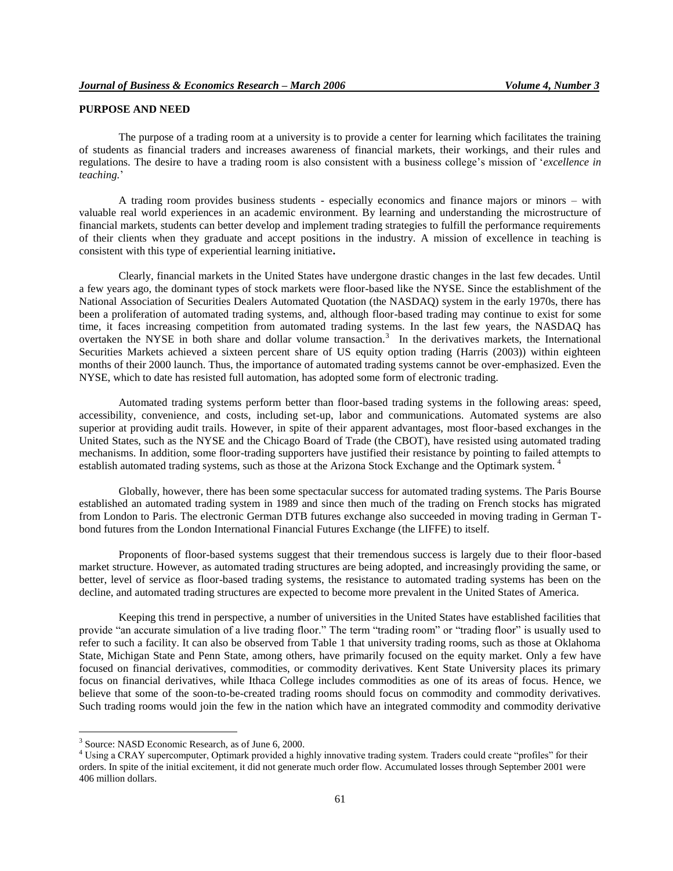# **PURPOSE AND NEED**

The purpose of a trading room at a university is to provide a center for learning which facilitates the training of students as financial traders and increases awareness of financial markets, their workings, and their rules and regulations. The desire to have a trading room is also consistent with a business college"s mission of "*excellence in teaching.*"

A trading room provides business students - especially economics and finance majors or minors – with valuable real world experiences in an academic environment. By learning and understanding the microstructure of financial markets, students can better develop and implement trading strategies to fulfill the performance requirements of their clients when they graduate and accept positions in the industry. A mission of excellence in teaching is consistent with this type of experiential learning initiative**.** 

Clearly, financial markets in the United States have undergone drastic changes in the last few decades. Until a few years ago, the dominant types of stock markets were floor-based like the NYSE. Since the establishment of the National Association of Securities Dealers Automated Quotation (the NASDAQ) system in the early 1970s, there has been a proliferation of automated trading systems, and, although floor-based trading may continue to exist for some time, it faces increasing competition from automated trading systems. In the last few years, the NASDAQ has overtaken the NYSE in both share and dollar volume transaction.<sup>3</sup> In the derivatives markets, the International Securities Markets achieved a sixteen percent share of US equity option trading (Harris (2003)) within eighteen months of their 2000 launch. Thus, the importance of automated trading systems cannot be over-emphasized. Even the NYSE, which to date has resisted full automation, has adopted some form of electronic trading.

Automated trading systems perform better than floor-based trading systems in the following areas: speed, accessibility, convenience, and costs, including set-up, labor and communications. Automated systems are also superior at providing audit trails. However, in spite of their apparent advantages, most floor-based exchanges in the United States, such as the NYSE and the Chicago Board of Trade (the CBOT), have resisted using automated trading mechanisms. In addition, some floor-trading supporters have justified their resistance by pointing to failed attempts to establish automated trading systems, such as those at the Arizona Stock Exchange and the Optimark system. <sup>4</sup>

Globally, however, there has been some spectacular success for automated trading systems. The Paris Bourse established an automated trading system in 1989 and since then much of the trading on French stocks has migrated from London to Paris. The electronic German DTB futures exchange also succeeded in moving trading in German Tbond futures from the London International Financial Futures Exchange (the LIFFE) to itself.

Proponents of floor-based systems suggest that their tremendous success is largely due to their floor-based market structure. However, as automated trading structures are being adopted, and increasingly providing the same, or better, level of service as floor-based trading systems, the resistance to automated trading systems has been on the decline, and automated trading structures are expected to become more prevalent in the United States of America.

Keeping this trend in perspective, a number of universities in the United States have established facilities that provide "an accurate simulation of a live trading floor." The term "trading room" or "trading floor" is usually used to refer to such a facility. It can also be observed from Table 1 that university trading rooms, such as those at Oklahoma State, Michigan State and Penn State, among others, have primarily focused on the equity market. Only a few have focused on financial derivatives, commodities, or commodity derivatives. Kent State University places its primary focus on financial derivatives, while Ithaca College includes commodities as one of its areas of focus. Hence, we believe that some of the soon-to-be-created trading rooms should focus on commodity and commodity derivatives. Such trading rooms would join the few in the nation which have an integrated commodity and commodity derivative

 $\overline{a}$ 

<sup>3</sup> Source: NASD Economic Research, as of June 6, 2000.

<sup>&</sup>lt;sup>4</sup> Using a CRAY supercomputer, Optimark provided a highly innovative trading system. Traders could create "profiles" for their orders. In spite of the initial excitement, it did not generate much order flow. Accumulated losses through September 2001 were 406 million dollars.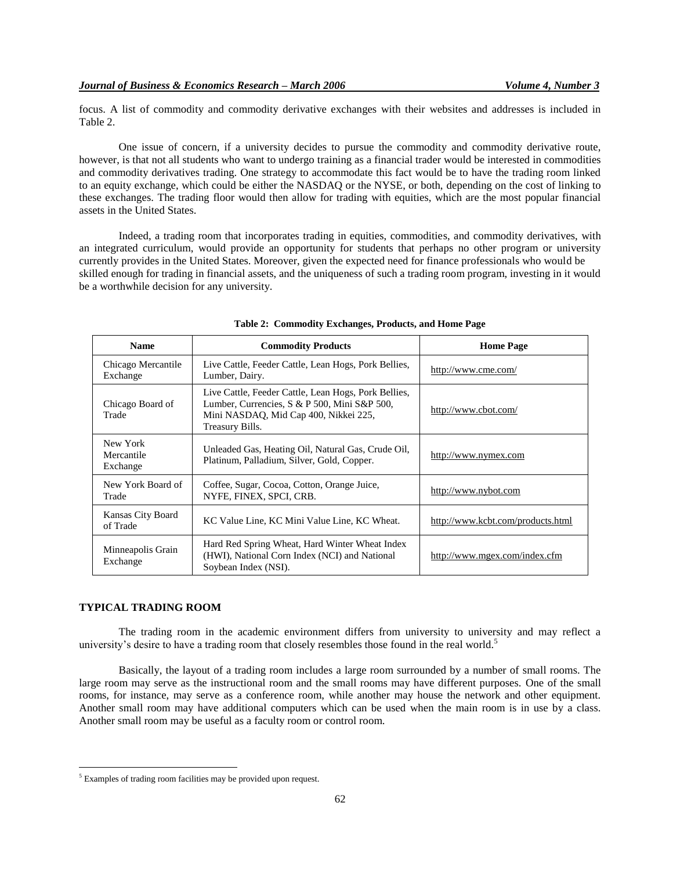focus. A list of commodity and commodity derivative exchanges with their websites and addresses is included in Table 2.

One issue of concern, if a university decides to pursue the commodity and commodity derivative route, however, is that not all students who want to undergo training as a financial trader would be interested in commodities and commodity derivatives trading. One strategy to accommodate this fact would be to have the trading room linked to an equity exchange, which could be either the NASDAQ or the NYSE, or both, depending on the cost of linking to these exchanges. The trading floor would then allow for trading with equities, which are the most popular financial assets in the United States.

Indeed, a trading room that incorporates trading in equities, commodities, and commodity derivatives, with an integrated curriculum, would provide an opportunity for students that perhaps no other program or university currently provides in the United States. Moreover, given the expected need for finance professionals who would be skilled enough for trading in financial assets, and the uniqueness of such a trading room program, investing in it would be a worthwhile decision for any university.

| <b>Name</b>                        | <b>Commodity Products</b>                                                                                                                                        | <b>Home Page</b>                  |
|------------------------------------|------------------------------------------------------------------------------------------------------------------------------------------------------------------|-----------------------------------|
| Chicago Mercantile<br>Exchange     | Live Cattle, Feeder Cattle, Lean Hogs, Pork Bellies,<br>http://www.cme.com/<br>Lumber, Dairy.                                                                    |                                   |
| Chicago Board of<br>Trade          | Live Cattle, Feeder Cattle, Lean Hogs, Pork Bellies,<br>Lumber, Currencies, S & P 500, Mini S&P 500,<br>Mini NASDAQ, Mid Cap 400, Nikkei 225,<br>Treasury Bills. | http://www.cbot.com/              |
| New York<br>Mercantile<br>Exchange | Unleaded Gas, Heating Oil, Natural Gas, Crude Oil,<br>Platinum, Palladium, Silver, Gold, Copper.                                                                 | http://www.nymex.com              |
| New York Board of<br>Trade         | Coffee, Sugar, Cocoa, Cotton, Orange Juice,<br>NYFE, FINEX, SPCI, CRB.                                                                                           | http://www.nybot.com              |
| Kansas City Board<br>of Trade      | KC Value Line, KC Mini Value Line, KC Wheat.                                                                                                                     | http://www.kcbt.com/products.html |
| Minneapolis Grain<br>Exchange      | Hard Red Spring Wheat, Hard Winter Wheat Index<br>(HWI), National Corn Index (NCI) and National<br>Soybean Index (NSI).                                          | http://www.mgex.com/index.cfm     |

|  |  |  |  | Table 2: Commodity Exchanges, Products, and Home Page |
|--|--|--|--|-------------------------------------------------------|
|--|--|--|--|-------------------------------------------------------|

# **TYPICAL TRADING ROOM**

 $\overline{a}$ 

The trading room in the academic environment differs from university to university and may reflect a university's desire to have a trading room that closely resembles those found in the real world.<sup>5</sup>

Basically, the layout of a trading room includes a large room surrounded by a number of small rooms. The large room may serve as the instructional room and the small rooms may have different purposes. One of the small rooms, for instance, may serve as a conference room, while another may house the network and other equipment. Another small room may have additional computers which can be used when the main room is in use by a class. Another small room may be useful as a faculty room or control room.

<sup>&</sup>lt;sup>5</sup> Examples of trading room facilities may be provided upon request.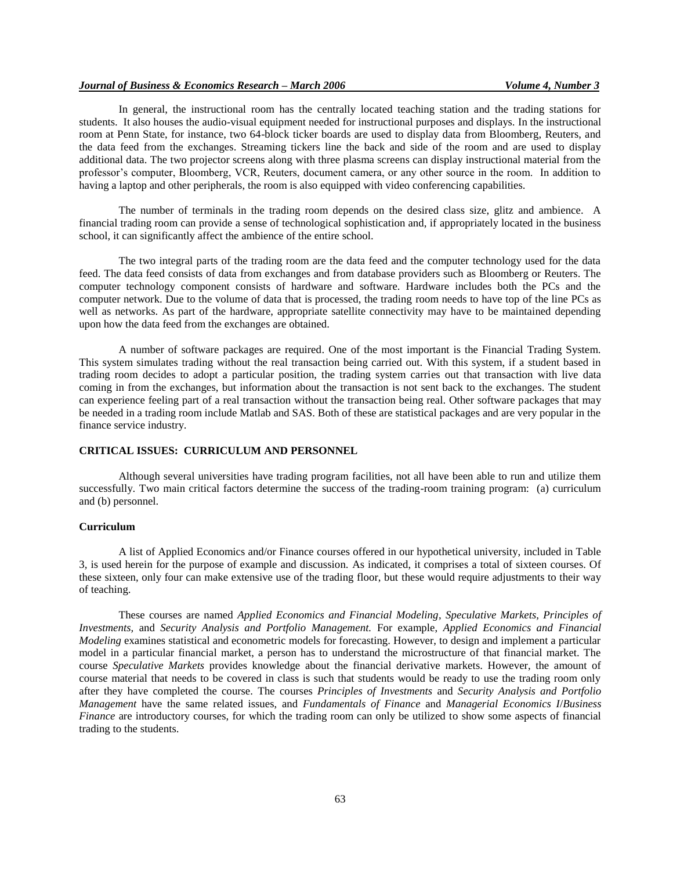# *Journal of Business & Economics Research – March 2006 Volume 4, Number 3*

In general, the instructional room has the centrally located teaching station and the trading stations for students. It also houses the audio-visual equipment needed for instructional purposes and displays. In the instructional room at Penn State, for instance, two 64-block ticker boards are used to display data from Bloomberg, Reuters, and the data feed from the exchanges. Streaming tickers line the back and side of the room and are used to display additional data. The two projector screens along with three plasma screens can display instructional material from the professor"s computer, Bloomberg, VCR, Reuters, document camera, or any other source in the room. In addition to having a laptop and other peripherals, the room is also equipped with video conferencing capabilities.

The number of terminals in the trading room depends on the desired class size, glitz and ambience. A financial trading room can provide a sense of technological sophistication and, if appropriately located in the business school, it can significantly affect the ambience of the entire school.

The two integral parts of the trading room are the data feed and the computer technology used for the data feed. The data feed consists of data from exchanges and from database providers such as Bloomberg or Reuters. The computer technology component consists of hardware and software. Hardware includes both the PCs and the computer network. Due to the volume of data that is processed, the trading room needs to have top of the line PCs as well as networks. As part of the hardware, appropriate satellite connectivity may have to be maintained depending upon how the data feed from the exchanges are obtained.

A number of software packages are required. One of the most important is the Financial Trading System. This system simulates trading without the real transaction being carried out. With this system, if a student based in trading room decides to adopt a particular position, the trading system carries out that transaction with live data coming in from the exchanges, but information about the transaction is not sent back to the exchanges. The student can experience feeling part of a real transaction without the transaction being real. Other software packages that may be needed in a trading room include Matlab and SAS. Both of these are statistical packages and are very popular in the finance service industry.

## **CRITICAL ISSUES: CURRICULUM AND PERSONNEL**

Although several universities have trading program facilities, not all have been able to run and utilize them successfully. Two main critical factors determine the success of the trading-room training program: (a) curriculum and (b) personnel.

# **Curriculum**

A list of Applied Economics and/or Finance courses offered in our hypothetical university, included in Table 3*,* is used herein for the purpose of example and discussion*.* As indicated, it comprises a total of sixteen courses. Of these sixteen, only four can make extensive use of the trading floor, but these would require adjustments to their way of teaching.

These courses are named *Applied Economics and Financial Modeling*, *Speculative Markets, Principles of Investments,* and *Security Analysis and Portfolio Management.* For example, *Applied Economics and Financial Modeling* examines statistical and econometric models for forecasting. However, to design and implement a particular model in a particular financial market, a person has to understand the microstructure of that financial market. The course *Speculative Markets* provides knowledge about the financial derivative markets. However, the amount of course material that needs to be covered in class is such that students would be ready to use the trading room only after they have completed the course. The courses *Principles of Investments* and *Security Analysis and Portfolio Management* have the same related issues, and *Fundamentals of Finance* and *Managerial Economics I*/*Business Finance* are introductory courses, for which the trading room can only be utilized to show some aspects of financial trading to the students.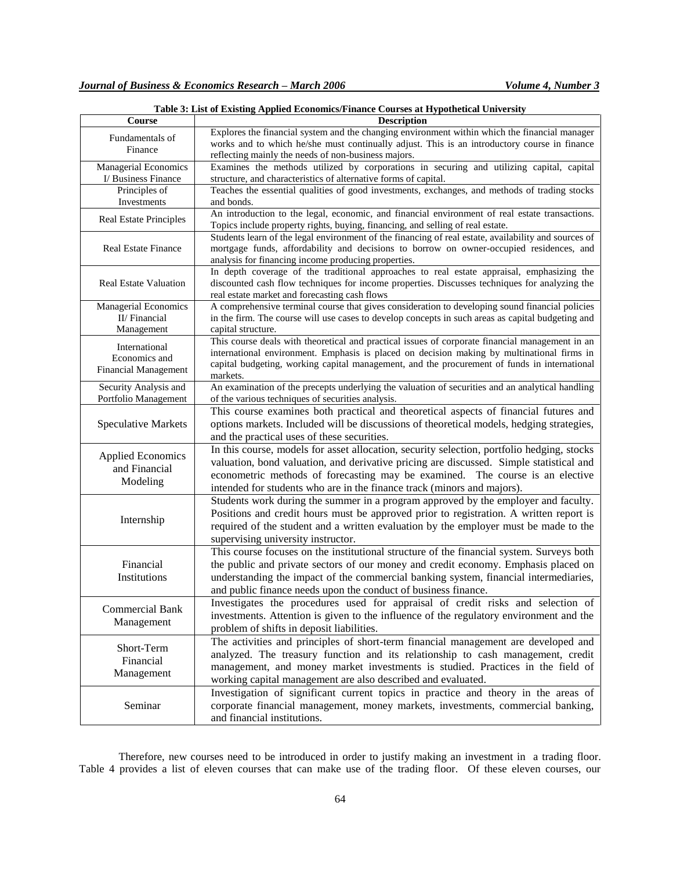| Course                       | <b>Description</b>                                                                                                                                                                            |
|------------------------------|-----------------------------------------------------------------------------------------------------------------------------------------------------------------------------------------------|
| Fundamentals of              | Explores the financial system and the changing environment within which the financial manager<br>works and to which he/she must continually adjust. This is an introductory course in finance |
| Finance                      | reflecting mainly the needs of non-business majors.                                                                                                                                           |
| <b>Managerial Economics</b>  | Examines the methods utilized by corporations in securing and utilizing capital, capital                                                                                                      |
| I/ Business Finance          | structure, and characteristics of alternative forms of capital.                                                                                                                               |
| Principles of                | Teaches the essential qualities of good investments, exchanges, and methods of trading stocks                                                                                                 |
| Investments                  | and bonds.                                                                                                                                                                                    |
|                              | An introduction to the legal, economic, and financial environment of real estate transactions.                                                                                                |
| Real Estate Principles       | Topics include property rights, buying, financing, and selling of real estate.                                                                                                                |
|                              | Students learn of the legal environment of the financing of real estate, availability and sources of                                                                                          |
| <b>Real Estate Finance</b>   | mortgage funds, affordability and decisions to borrow on owner-occupied residences, and<br>analysis for financing income producing properties.                                                |
|                              | In depth coverage of the traditional approaches to real estate appraisal, emphasizing the                                                                                                     |
| <b>Real Estate Valuation</b> | discounted cash flow techniques for income properties. Discusses techniques for analyzing the<br>real estate market and forecasting cash flows                                                |
| <b>Managerial Economics</b>  | A comprehensive terminal course that gives consideration to developing sound financial policies                                                                                               |
| II/Financial                 | in the firm. The course will use cases to develop concepts in such areas as capital budgeting and                                                                                             |
| Management                   | capital structure.                                                                                                                                                                            |
| International                | This course deals with theoretical and practical issues of corporate financial management in an                                                                                               |
| Economics and                | international environment. Emphasis is placed on decision making by multinational firms in                                                                                                    |
| <b>Financial Management</b>  | capital budgeting, working capital management, and the procurement of funds in international<br>markets.                                                                                      |
| Security Analysis and        | An examination of the precepts underlying the valuation of securities and an analytical handling                                                                                              |
| Portfolio Management         | of the various techniques of securities analysis.                                                                                                                                             |
|                              | This course examines both practical and theoretical aspects of financial futures and                                                                                                          |
| <b>Speculative Markets</b>   | options markets. Included will be discussions of theoretical models, hedging strategies,                                                                                                      |
|                              | and the practical uses of these securities.                                                                                                                                                   |
|                              | In this course, models for asset allocation, security selection, portfolio hedging, stocks                                                                                                    |
| <b>Applied Economics</b>     | valuation, bond valuation, and derivative pricing are discussed. Simple statistical and                                                                                                       |
| and Financial                | econometric methods of forecasting may be examined. The course is an elective                                                                                                                 |
| Modeling                     | intended for students who are in the finance track (minors and majors).                                                                                                                       |
|                              |                                                                                                                                                                                               |
|                              | Students work during the summer in a program approved by the employer and faculty.                                                                                                            |
| Internship                   | Positions and credit hours must be approved prior to registration. A written report is                                                                                                        |
|                              | required of the student and a written evaluation by the employer must be made to the                                                                                                          |
|                              | supervising university instructor.                                                                                                                                                            |
|                              | This course focuses on the institutional structure of the financial system. Surveys both                                                                                                      |
| Financial                    | the public and private sectors of our money and credit economy. Emphasis placed on                                                                                                            |
| Institutions                 | understanding the impact of the commercial banking system, financial intermediaries,                                                                                                          |
|                              | and public finance needs upon the conduct of business finance.                                                                                                                                |
| <b>Commercial Bank</b>       | Investigates the procedures used for appraisal of credit risks and selection of                                                                                                               |
| Management                   | investments. Attention is given to the influence of the regulatory environment and the                                                                                                        |
|                              | problem of shifts in deposit liabilities.                                                                                                                                                     |
| Short-Term                   | The activities and principles of short-term financial management are developed and                                                                                                            |
|                              | analyzed. The treasury function and its relationship to cash management, credit                                                                                                               |
| Financial                    | management, and money market investments is studied. Practices in the field of                                                                                                                |
| Management                   | working capital management are also described and evaluated.                                                                                                                                  |
|                              | Investigation of significant current topics in practice and theory in the areas of                                                                                                            |
| Seminar                      | corporate financial management, money markets, investments, commercial banking,                                                                                                               |
|                              | and financial institutions.                                                                                                                                                                   |
|                              |                                                                                                                                                                                               |

**Table 3: List of Existing Applied Economics/Finance Courses at Hypothetical University**

Therefore, new courses need to be introduced in order to justify making an investment in a trading floor. Table 4 provides a list of eleven courses that can make use of the trading floor. Of these eleven courses, our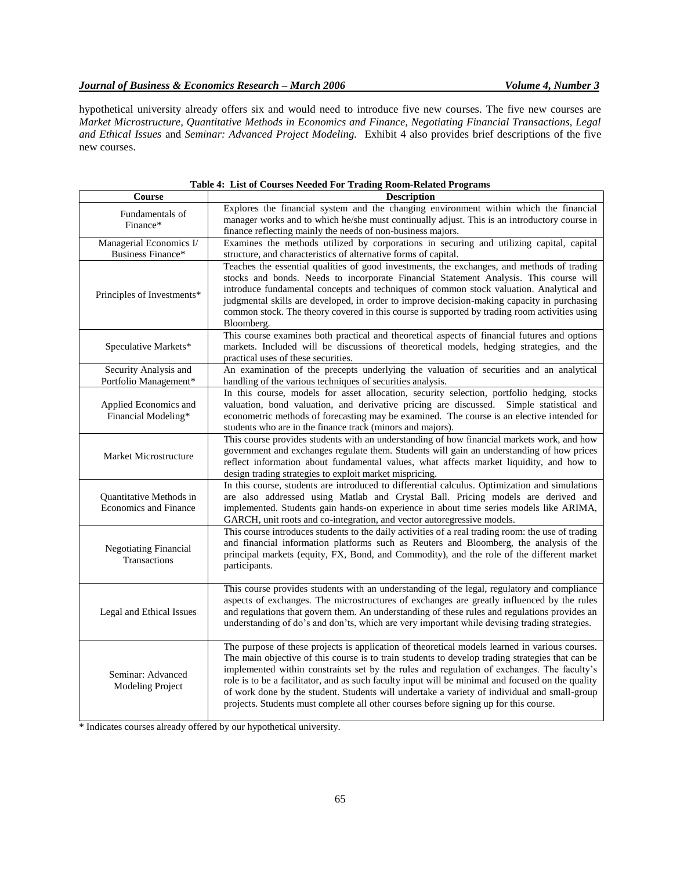hypothetical university already offers six and would need to introduce five new courses. The five new courses are *Market Microstructure, Quantitative Methods in Economics and Finance, Negotiating Financial Transactions, Legal and Ethical Issues* and *Seminar: Advanced Project Modeling.* Exhibit 4 also provides brief descriptions of the five new courses.

| Course                                                  | <b>Description</b>                                                                                                                                                                                                                                                                                                                                                                                                                                                                                                                                                                             |  |
|---------------------------------------------------------|------------------------------------------------------------------------------------------------------------------------------------------------------------------------------------------------------------------------------------------------------------------------------------------------------------------------------------------------------------------------------------------------------------------------------------------------------------------------------------------------------------------------------------------------------------------------------------------------|--|
| Fundamentals of<br>Finance*                             | Explores the financial system and the changing environment within which the financial<br>manager works and to which he/she must continually adjust. This is an introductory course in<br>finance reflecting mainly the needs of non-business majors.                                                                                                                                                                                                                                                                                                                                           |  |
| Managerial Economics I/<br>Business Finance*            | Examines the methods utilized by corporations in securing and utilizing capital, capital<br>structure, and characteristics of alternative forms of capital.                                                                                                                                                                                                                                                                                                                                                                                                                                    |  |
| Principles of Investments*                              | Teaches the essential qualities of good investments, the exchanges, and methods of trading<br>stocks and bonds. Needs to incorporate Financial Statement Analysis. This course will<br>introduce fundamental concepts and techniques of common stock valuation. Analytical and<br>judgmental skills are developed, in order to improve decision-making capacity in purchasing<br>common stock. The theory covered in this course is supported by trading room activities using<br>Bloomberg.                                                                                                   |  |
| Speculative Markets*                                    | This course examines both practical and theoretical aspects of financial futures and options<br>markets. Included will be discussions of theoretical models, hedging strategies, and the<br>practical uses of these securities.                                                                                                                                                                                                                                                                                                                                                                |  |
| Security Analysis and<br>Portfolio Management*          | An examination of the precepts underlying the valuation of securities and an analytical<br>handling of the various techniques of securities analysis.                                                                                                                                                                                                                                                                                                                                                                                                                                          |  |
| Applied Economics and<br>Financial Modeling*            | In this course, models for asset allocation, security selection, portfolio hedging, stocks<br>valuation, bond valuation, and derivative pricing are discussed. Simple statistical and<br>econometric methods of forecasting may be examined. The course is an elective intended for<br>students who are in the finance track (minors and majors).                                                                                                                                                                                                                                              |  |
| Market Microstructure                                   | This course provides students with an understanding of how financial markets work, and how<br>government and exchanges regulate them. Students will gain an understanding of how prices<br>reflect information about fundamental values, what affects market liquidity, and how to<br>design trading strategies to exploit market mispricing.                                                                                                                                                                                                                                                  |  |
| Quantitative Methods in<br><b>Economics and Finance</b> | In this course, students are introduced to differential calculus. Optimization and simulations<br>are also addressed using Matlab and Crystal Ball. Pricing models are derived and<br>implemented. Students gain hands-on experience in about time series models like ARIMA,<br>GARCH, unit roots and co-integration, and vector autoregressive models.                                                                                                                                                                                                                                        |  |
| <b>Negotiating Financial</b><br>Transactions            | This course introduces students to the daily activities of a real trading room: the use of trading<br>and financial information platforms such as Reuters and Bloomberg, the analysis of the<br>principal markets (equity, FX, Bond, and Commodity), and the role of the different market<br>participants.                                                                                                                                                                                                                                                                                     |  |
| Legal and Ethical Issues                                | This course provides students with an understanding of the legal, regulatory and compliance<br>aspects of exchanges. The microstructures of exchanges are greatly influenced by the rules<br>and regulations that govern them. An understanding of these rules and regulations provides an<br>understanding of do's and don'ts, which are very important while devising trading strategies.                                                                                                                                                                                                    |  |
| Seminar: Advanced<br><b>Modeling Project</b>            | The purpose of these projects is application of theoretical models learned in various courses.<br>The main objective of this course is to train students to develop trading strategies that can be<br>implemented within constraints set by the rules and regulation of exchanges. The faculty's<br>role is to be a facilitator, and as such faculty input will be minimal and focused on the quality<br>of work done by the student. Students will undertake a variety of individual and small-group<br>projects. Students must complete all other courses before signing up for this course. |  |

| Table 4: List of Courses Needed For Trading Room-Related Programs |  |
|-------------------------------------------------------------------|--|
|-------------------------------------------------------------------|--|

\* Indicates courses already offered by our hypothetical university.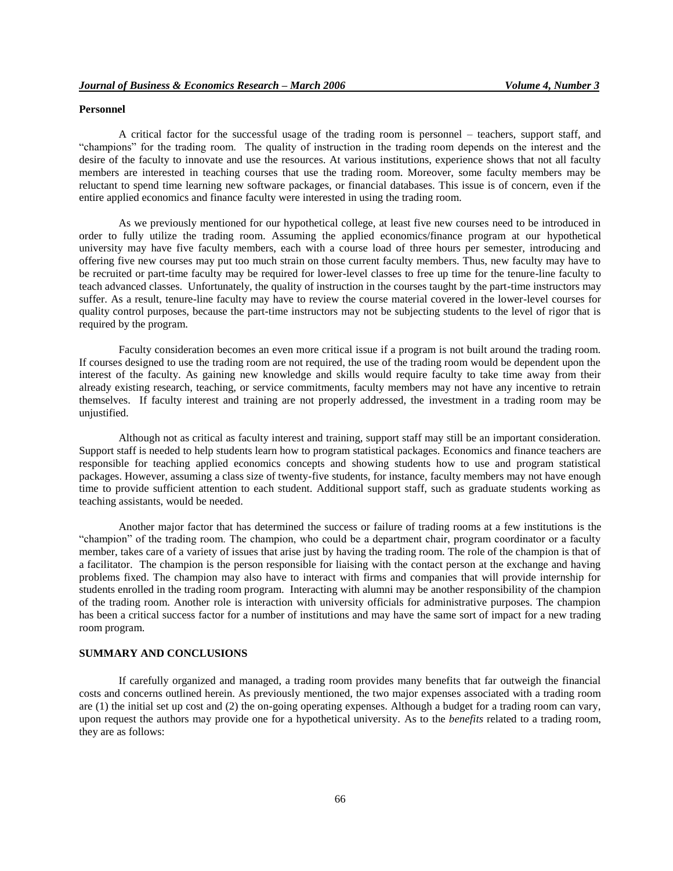## **Personnel**

A critical factor for the successful usage of the trading room is personnel – teachers, support staff, and "champions" for the trading room. The quality of instruction in the trading room depends on the interest and the desire of the faculty to innovate and use the resources. At various institutions, experience shows that not all faculty members are interested in teaching courses that use the trading room. Moreover, some faculty members may be reluctant to spend time learning new software packages, or financial databases. This issue is of concern, even if the entire applied economics and finance faculty were interested in using the trading room.

As we previously mentioned for our hypothetical college, at least five new courses need to be introduced in order to fully utilize the trading room. Assuming the applied economics/finance program at our hypothetical university may have five faculty members, each with a course load of three hours per semester, introducing and offering five new courses may put too much strain on those current faculty members. Thus, new faculty may have to be recruited or part-time faculty may be required for lower-level classes to free up time for the tenure-line faculty to teach advanced classes. Unfortunately, the quality of instruction in the courses taught by the part-time instructors may suffer. As a result, tenure-line faculty may have to review the course material covered in the lower-level courses for quality control purposes, because the part-time instructors may not be subjecting students to the level of rigor that is required by the program.

Faculty consideration becomes an even more critical issue if a program is not built around the trading room. If courses designed to use the trading room are not required, the use of the trading room would be dependent upon the interest of the faculty. As gaining new knowledge and skills would require faculty to take time away from their already existing research, teaching, or service commitments, faculty members may not have any incentive to retrain themselves. If faculty interest and training are not properly addressed, the investment in a trading room may be unjustified.

Although not as critical as faculty interest and training, support staff may still be an important consideration. Support staff is needed to help students learn how to program statistical packages. Economics and finance teachers are responsible for teaching applied economics concepts and showing students how to use and program statistical packages. However, assuming a class size of twenty-five students, for instance, faculty members may not have enough time to provide sufficient attention to each student. Additional support staff, such as graduate students working as teaching assistants, would be needed.

Another major factor that has determined the success or failure of trading rooms at a few institutions is the "champion" of the trading room. The champion, who could be a department chair, program coordinator or a faculty member, takes care of a variety of issues that arise just by having the trading room. The role of the champion is that of a facilitator. The champion is the person responsible for liaising with the contact person at the exchange and having problems fixed. The champion may also have to interact with firms and companies that will provide internship for students enrolled in the trading room program. Interacting with alumni may be another responsibility of the champion of the trading room. Another role is interaction with university officials for administrative purposes. The champion has been a critical success factor for a number of institutions and may have the same sort of impact for a new trading room program.

# **SUMMARY AND CONCLUSIONS**

If carefully organized and managed, a trading room provides many benefits that far outweigh the financial costs and concerns outlined herein. As previously mentioned, the two major expenses associated with a trading room are (1) the initial set up cost and (2) the on-going operating expenses. Although a budget for a trading room can vary, upon request the authors may provide one for a hypothetical university. As to the *benefits* related to a trading room, they are as follows: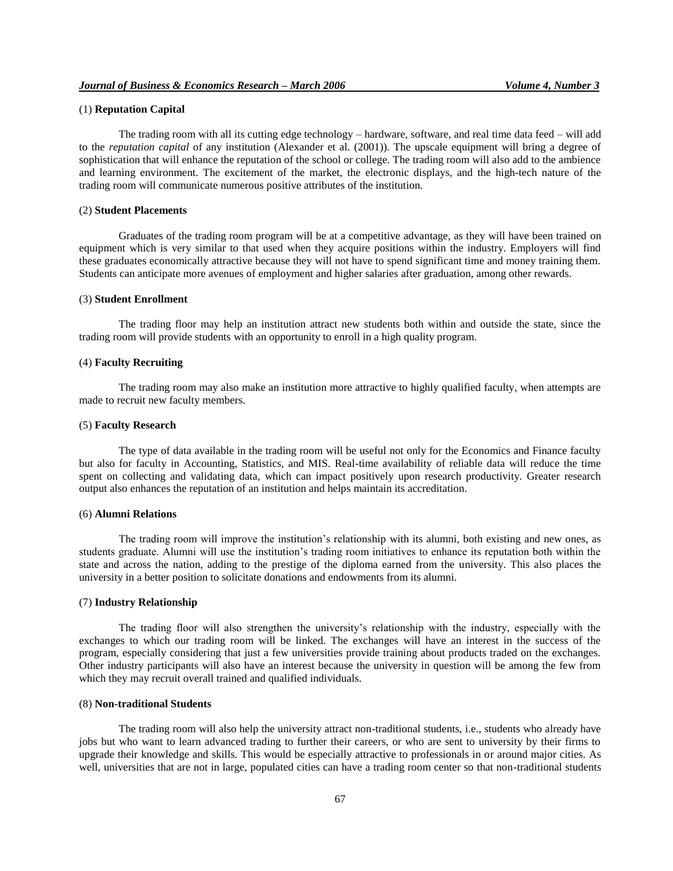# (1) **Reputation Capital**

The trading room with all its cutting edge technology – hardware, software, and real time data feed – will add to the *reputation capital* of any institution (Alexander et al. (2001)). The upscale equipment will bring a degree of sophistication that will enhance the reputation of the school or college. The trading room will also add to the ambience and learning environment. The excitement of the market, the electronic displays, and the high-tech nature of the trading room will communicate numerous positive attributes of the institution.

# (2) **Student Placements**

Graduates of the trading room program will be at a competitive advantage, as they will have been trained on equipment which is very similar to that used when they acquire positions within the industry. Employers will find these graduates economically attractive because they will not have to spend significant time and money training them. Students can anticipate more avenues of employment and higher salaries after graduation, among other rewards.

# (3) **Student Enrollment**

The trading floor may help an institution attract new students both within and outside the state, since the trading room will provide students with an opportunity to enroll in a high quality program.

# (4) **Faculty Recruiting**

The trading room may also make an institution more attractive to highly qualified faculty, when attempts are made to recruit new faculty members.

#### (5) **Faculty Research**

The type of data available in the trading room will be useful not only for the Economics and Finance faculty but also for faculty in Accounting, Statistics, and MIS. Real-time availability of reliable data will reduce the time spent on collecting and validating data, which can impact positively upon research productivity. Greater research output also enhances the reputation of an institution and helps maintain its accreditation.

#### (6) **Alumni Relations**

The trading room will improve the institution"s relationship with its alumni, both existing and new ones, as students graduate. Alumni will use the institution"s trading room initiatives to enhance its reputation both within the state and across the nation, adding to the prestige of the diploma earned from the university. This also places the university in a better position to solicitate donations and endowments from its alumni.

#### (7) **Industry Relationship**

The trading floor will also strengthen the university's relationship with the industry, especially with the exchanges to which our trading room will be linked. The exchanges will have an interest in the success of the program, especially considering that just a few universities provide training about products traded on the exchanges. Other industry participants will also have an interest because the university in question will be among the few from which they may recruit overall trained and qualified individuals.

#### (8) **Non-traditional Students**

The trading room will also help the university attract non-traditional students, i.e., students who already have jobs but who want to learn advanced trading to further their careers, or who are sent to university by their firms to upgrade their knowledge and skills. This would be especially attractive to professionals in or around major cities. As well, universities that are not in large, populated cities can have a trading room center so that non-traditional students